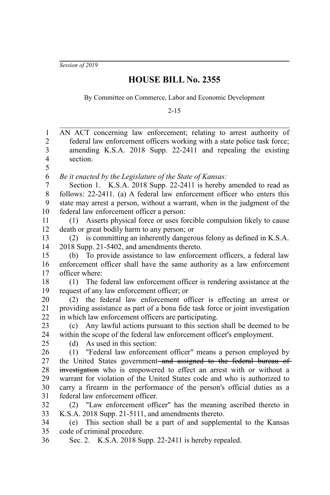*Session of 2019*

## **HOUSE BILL No. 2355**

By Committee on Commerce, Labor and Economic Development

2-15

| $\mathbf{1}$                     | AN ACT concerning law enforcement; relating to arrest authority of                                                                        |
|----------------------------------|-------------------------------------------------------------------------------------------------------------------------------------------|
| $\overline{2}$<br>$\mathfrak{Z}$ | federal law enforcement officers working with a state police task force;<br>amending K.S.A. 2018 Supp. 22-2411 and repealing the existing |
| $\overline{4}$                   | section.                                                                                                                                  |
| 5                                |                                                                                                                                           |
| 6                                | Be it enacted by the Legislature of the State of Kansas:                                                                                  |
| $\overline{7}$                   | Section 1. K.S.A. 2018 Supp. 22-2411 is hereby amended to read as                                                                         |
| 8                                | follows: 22-2411. (a) A federal law enforcement officer who enters this                                                                   |
| 9                                | state may arrest a person, without a warrant, when in the judgment of the                                                                 |
| 10                               | federal law enforcement officer a person:                                                                                                 |
| 11                               | (1) Asserts physical force or uses forcible compulsion likely to cause                                                                    |
| 12                               | death or great bodily harm to any person; or                                                                                              |
| 13                               | (2) is committing an inherently dangerous felony as defined in K.S.A.                                                                     |
| 14                               | 2018 Supp. 21-5402, and amendments thereto.                                                                                               |
| 15                               | (b) To provide assistance to law enforcement officers, a federal law                                                                      |
| 16                               | enforcement officer shall have the same authority as a law enforcement                                                                    |
| 17                               | officer where:                                                                                                                            |
| 18                               | (1) The federal law enforcement officer is rendering assistance at the                                                                    |
| 19                               | request of any law enforcement officer; or                                                                                                |
| $20\,$                           | (2) the federal law enforcement officer is effecting an arrest or                                                                         |
| 21                               | providing assistance as part of a bona fide task force or joint investigation                                                             |
| 22                               | in which law enforcement officers are participating.                                                                                      |
| 23                               | Any lawful actions pursuant to this section shall be deemed to be<br>(c)                                                                  |
| 24                               | within the scope of the federal law enforcement officer's employment.                                                                     |
| 25<br>26                         | As used in this section:<br>(d)                                                                                                           |
| 27                               | (1) "Federal law enforcement officer" means a person employed by<br>the United States government-and assigned to the federal bureau of    |
| 28                               | investigation who is empowered to effect an arrest with or without a                                                                      |
| 29                               | warrant for violation of the United States code and who is authorized to                                                                  |
| 30                               | carry a firearm in the performance of the person's official duties as a                                                                   |
| 31                               | federal law enforcement officer.                                                                                                          |
| 32                               | (2) "Law enforcement officer" has the meaning ascribed thereto in                                                                         |
| 33                               | K.S.A. 2018 Supp. 21-5111, and amendments thereto.                                                                                        |
| 34                               | (e) This section shall be a part of and supplemental to the Kansas                                                                        |
| 35                               | code of criminal procedure.                                                                                                               |
| 36                               | Sec. 2. K.S.A. 2018 Supp. 22-2411 is hereby repealed.                                                                                     |
|                                  |                                                                                                                                           |